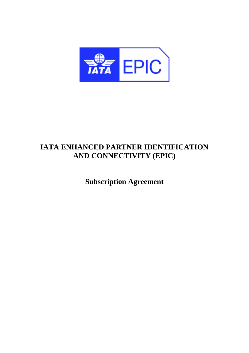

# **IATA ENHANCED PARTNER IDENTIFICATION AND CONNECTIVITY (EPIC)**

**Subscription Agreement**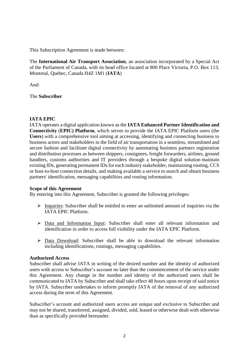This Subscription Agreement is made between:

The **International Air Transport Association**, an association incorporated by a Special Act of the Parliament of Canada, with its head office located at 800 Place Victoria, P.O. Box 113, Montreal, Quebec, Canada H4Z 1M1 (**IATA**)

And:

The **Subscriber**

# **IATA EPIC**

IATA operates a digital application known as the **IATA Enhanced Partner Identification and Connectivity** (**EPIC) Platform**, which serves to provide the IATA EPIC Platform users (the **Users**) with a comprehensive tool aiming at accessing, identifying and connecting business to business actors and stakeholders in the field of air transportation in a seamless, streamlined and secure fashion and facilitate digital connectivity by automating business partners registration and distribution processes as between shippers, consignees, freight forwarders, airlines, ground handlers, customs authorities and IT providers through a bespoke digital solution maintain existing IDs, generating permanent IDs for each industry stakeholder, maintaining routing, CCS or host-to-host connection details, and making available a service to search and obtain business partners' identification, messaging capabilities and routing information.

# **Scope of this Agreement**

By entering into this Agreement, Subscriber is granted the following privileges:

- $\triangleright$  Inquiries: Subscriber shall be entitled to enter an unlimited amount of inquiries via the IATA EPIC Platform.
- ➢ Data and Information Input: Subscriber shall enter all relevant information and identification in order to access full visibility under the IATA EPIC Platform.
- ➢ Data Download: Subscriber shall be able to download the relevant information including identifications, routings, messaging capabilities.

# **Authorized Access**

Subscriber shall advise IATA in writing of the desired number and the identity of authorized users with access to Subscriber's account no later than the commencement of the service under this Agreement. Any change in the number and identity of the authorized users shall be communicated to IATA by Subscriber and shall take effect 48 hours upon receipt of said notice by IATA. Subscriber undertakes to inform promptly IATA of the removal of any authorized access during the term of this Agreement.

Subscriber's account and authorized users access are unique and exclusive to Subscriber and may not be shared, transferred, assigned, divided, sold, leased or otherwise dealt with otherwise than as specifically provided hereunder.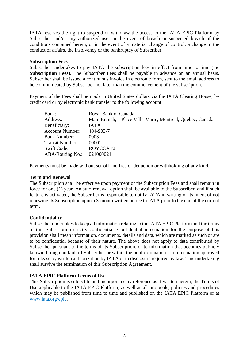IATA reserves the right to suspend or withdraw the access to the IATA EPIC Platform by Subscriber and/or any authorized user in the event of breach or suspected breach of the conditions contained herein, or in the event of a material change of control, a change in the conduct of affairs, the insolvency or the bankruptcy of Subscriber.

#### **Subscription Fees**

Subscriber undertakes to pay IATA the subscription fees in effect from time to time (the **Subscription Fees**). The Subscriber Fees shall be payable in advance on an annual basis. Subscriber shall be issued a continuous invoice in electronic form, sent to the email address to be communicated by Subscriber not later than the commencement of the subscription.

Payment of the Fees shall be made in United States dollars via the IATA Clearing House, by credit card or by electronic bank transfer to the following account:

| Bank:                   | Royal Bank of Canada                                       |
|-------------------------|------------------------------------------------------------|
| Address:                | Main Branch, 1 Place Ville-Marie, Montreal, Quebec, Canada |
| Beneficiary:            | <b>IATA</b>                                                |
| <b>Account Number:</b>  | 404-903-7                                                  |
| <b>Bank Number:</b>     | 0003                                                       |
| <b>Transit Number:</b>  | 00001                                                      |
| <b>Swift Code:</b>      | ROYCCAT2                                                   |
| <b>ABA/Routing No.:</b> | 021000021                                                  |

Payments must be made without set-off and free of deduction or withholding of any kind.

## **Term and Renewal**

The Subscription shall be effective upon payment of the Subscription Fees and shall remain in force for one (1) year. An auto-renewal option shall be available to the Subscriber, and if such feature is activated, the Subscriber is responsible to notify IATA in writing of its intent of not renewing its Subscription upon a 3-month written notice to IATA prior to the end of the current term.

# **Confidentiality**

Subscriber undertakes to keep all information relating to the IATA EPIC Platform and the terms of this Subscription strictly confidential. Confidential information for the purpose of this provision shall mean information, documents, details and data, which are marked as such or are to be confidential because of their nature. The above does not apply to data contributed by Subscriber pursuant to the terms of its Subscription, or to information that becomes publicly known through no fault of Subscriber or within the public domain, or to information approved for release by written authorization by IATA or to disclosure required by law. This undertaking shall survive the termination of this Subscription Agreement.

# **IATA EPIC Platform Terms of Use**

This Subscription is subject to and incorporates by reference as if written herein, the Terms of Use applicable to the IATA EPIC Platform, as well as all protocols, policies and procedures which may be published from time to time and published on the IATA EPIC Platform or at www.iata.org/epic.